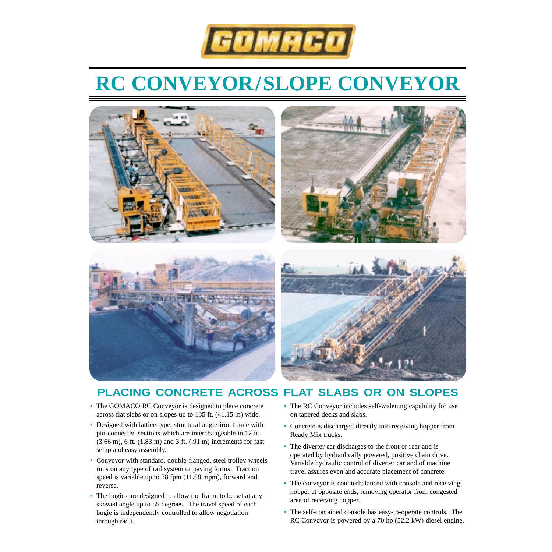

# **RC CONVEYOR/SLOPE CONVEYOR**



# **PLACING CONCRETE ACROSS FLAT SLABS OR ON SLOPES**

- **•** The GOMACO RC Conveyor is designed to place concrete across flat slabs or on slopes up to 135 ft. (41.15 m) wide.
- **•** Designed with lattice-type, structural angle-iron frame with pin-connected sections which are interchangeable in 12 ft. (3.66 m), 6 ft. (1.83 m) and 3 ft. (.91 m) increments for fast setup and easy assembly.
- **•** Conveyor with standard, double-flanged, steel trolley wheels runs on any type of rail system or paving forms. Traction speed is variable up to 38 fpm (11.58 mpm), forward and reverse.
- **•** The bogies are designed to allow the frame to be set at any skewed angle up to 55 degrees. The travel speed of each bogie is independently controlled to allow negotiation through radii.
- **•** The RC Conveyor includes self-widening capability for use on tapered decks and slabs.
- **•** Concrete is discharged directly into receiving hopper from Ready Mix trucks.
- **•** The diverter car discharges to the front or rear and is operated by hydraulically powered, positive chain drive. Variable hydraulic control of diverter car and of machine travel assures even and accurate placement of concrete.
- **•** The conveyor is counterbalanced with console and receiving hopper at opposite ends, removing operator from congested area of receiving hopper.
- **•** The self-contained console has easy-to-operate controls. The RC Conveyor is powered by a 70 hp (52.2 kW) diesel engine.